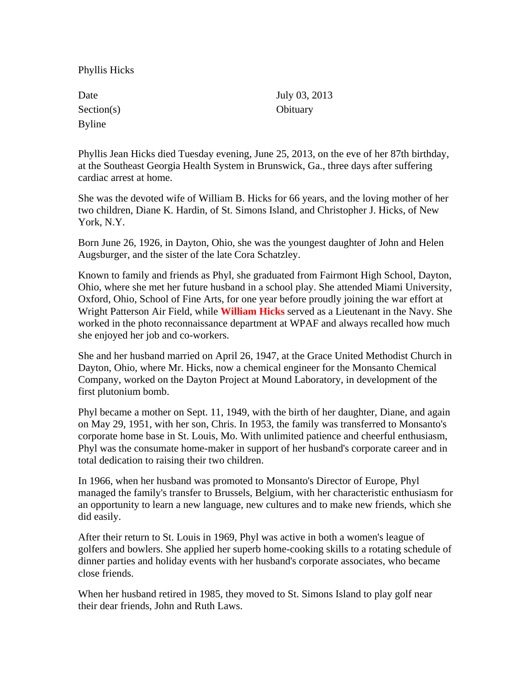Phyllis Hicks

| Date       | July 03, 2013 |
|------------|---------------|
| Section(s) | Obituary      |
| Byline     |               |

Phyllis Jean Hicks died Tuesday evening, June 25, 2013, on the eve of her 87th birthday, at the Southeast Georgia Health System in Brunswick, Ga., three days after suffering cardiac arrest at home.

She was the devoted wife of William B. Hicks for 66 years, and the loving mother of her two children, Diane K. Hardin, of St. Simons Island, and Christopher J. Hicks, of New York, N.Y.

Born June 26, 1926, in Dayton, Ohio, she was the youngest daughter of John and Helen Augsburger, and the sister of the late Cora Schatzley.

Known to family and friends as Phyl, she graduated from Fairmont High School, Dayton, Ohio, where she met her future husband in a school play. She attended Miami University, Oxford, Ohio, School of Fine Arts, for one year before proudly joining the war effort at Wright Patterson Air Field, while **William Hicks** served as a Lieutenant in the Navy. She worked in the photo reconnaissance department at WPAF and always recalled how much she enjoyed her job and co-workers.

She and her husband married on April 26, 1947, at the Grace United Methodist Church in Dayton, Ohio, where Mr. Hicks, now a chemical engineer for the Monsanto Chemical Company, worked on the Dayton Project at Mound Laboratory, in development of the first plutonium bomb.

Phyl became a mother on Sept. 11, 1949, with the birth of her daughter, Diane, and again on May 29, 1951, with her son, Chris. In 1953, the family was transferred to Monsanto's corporate home base in St. Louis, Mo. With unlimited patience and cheerful enthusiasm, Phyl was the consumate home-maker in support of her husband's corporate career and in total dedication to raising their two children.

In 1966, when her husband was promoted to Monsanto's Director of Europe, Phyl managed the family's transfer to Brussels, Belgium, with her characteristic enthusiasm for an opportunity to learn a new language, new cultures and to make new friends, which she did easily.

After their return to St. Louis in 1969, Phyl was active in both a women's league of golfers and bowlers. She applied her superb home-cooking skills to a rotating schedule of dinner parties and holiday events with her husband's corporate associates, who became close friends.

When her husband retired in 1985, they moved to St. Simons Island to play golf near their dear friends, John and Ruth Laws.